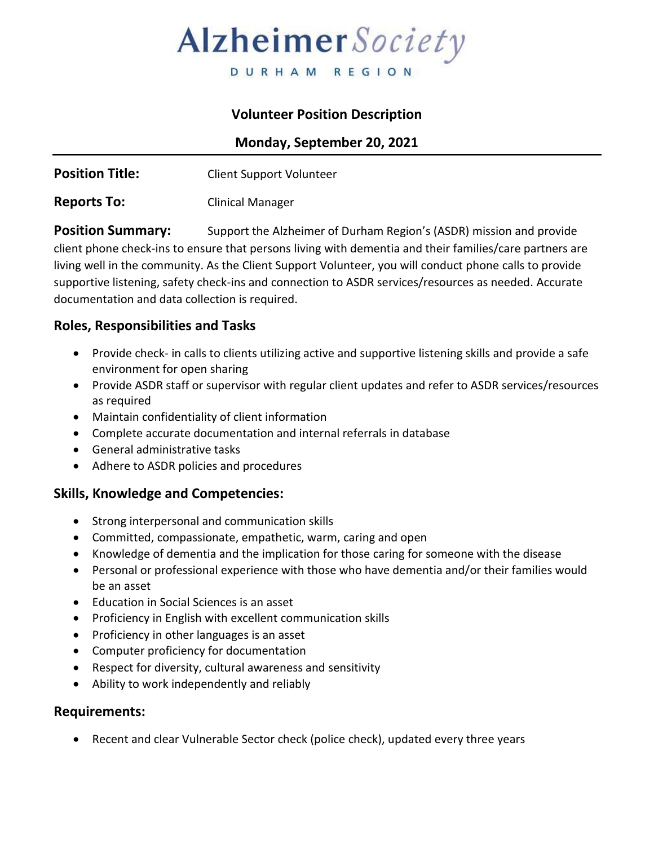# Alzheimer Society

DURHAM REGION

## **Volunteer Position Description**

**Monday, September 20, 2021**

| <b>Position Title:</b> | <b>Client Support Volunteer</b> |
|------------------------|---------------------------------|
|                        |                                 |

**Reports To:** Clinical Manager

**Position Summary:** Support the Alzheimer of Durham Region's (ASDR) mission and provide client phone check-ins to ensure that persons living with dementia and their families/care partners are living well in the community. As the Client Support Volunteer, you will conduct phone calls to provide supportive listening, safety check-ins and connection to ASDR services/resources as needed. Accurate documentation and data collection is required.

## **Roles, Responsibilities and Tasks**

- Provide check- in calls to clients utilizing active and supportive listening skills and provide a safe environment for open sharing
- Provide ASDR staff or supervisor with regular client updates and refer to ASDR services/resources as required
- Maintain confidentiality of client information
- Complete accurate documentation and internal referrals in database
- General administrative tasks
- Adhere to ASDR policies and procedures

#### **Skills, Knowledge and Competencies:**

- Strong interpersonal and communication skills
- Committed, compassionate, empathetic, warm, caring and open
- Knowledge of dementia and the implication for those caring for someone with the disease
- Personal or professional experience with those who have dementia and/or their families would be an asset
- Education in Social Sciences is an asset
- Proficiency in English with excellent communication skills
- Proficiency in other languages is an asset
- Computer proficiency for documentation
- Respect for diversity, cultural awareness and sensitivity
- Ability to work independently and reliably

#### **Requirements:**

• Recent and clear Vulnerable Sector check (police check), updated every three years